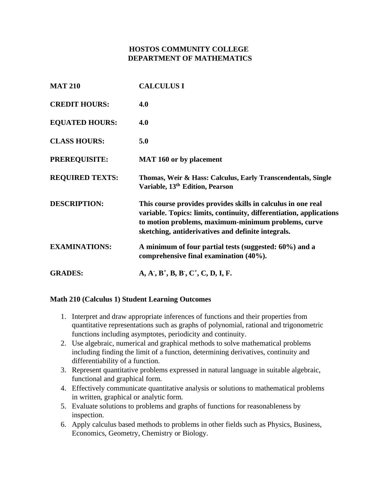# **HOSTOS COMMUNITY COLLEGE DEPARTMENT OF MATHEMATICS**

| <b>MAT 210</b>         | <b>CALCULUS I</b>                                                                                                                                                                                                                                |
|------------------------|--------------------------------------------------------------------------------------------------------------------------------------------------------------------------------------------------------------------------------------------------|
| <b>CREDIT HOURS:</b>   | 4.0                                                                                                                                                                                                                                              |
| <b>EQUATED HOURS:</b>  | 4.0                                                                                                                                                                                                                                              |
| <b>CLASS HOURS:</b>    | 5.0                                                                                                                                                                                                                                              |
| <b>PREREQUISITE:</b>   | <b>MAT 160 or by placement</b>                                                                                                                                                                                                                   |
| <b>REQUIRED TEXTS:</b> | Thomas, Weir & Hass: Calculus, Early Transcendentals, Single<br>Variable, 13 <sup>th</sup> Edition, Pearson                                                                                                                                      |
| <b>DESCRIPTION:</b>    | This course provides provides skills in calculus in one real<br>variable. Topics: limits, continuity, differentiation, applications<br>to motion problems, maximum-minimum problems, curve<br>sketching, antiderivatives and definite integrals. |
| <b>EXAMINATIONS:</b>   | A minimum of four partial tests (suggested: 60%) and a<br>comprehensive final examination (40%).                                                                                                                                                 |
| <b>GRADES:</b>         | $A, A', B^+, B, B', C^+, C, D, I, F.$                                                                                                                                                                                                            |

#### **Math 210 (Calculus 1) Student Learning Outcomes**

- 1. Interpret and draw appropriate inferences of functions and their properties from quantitative representations such as graphs of polynomial, rational and trigonometric functions including asymptotes, periodicity and continuity.
- 2. Use algebraic, numerical and graphical methods to solve mathematical problems including finding the limit of a function, determining derivatives, continuity and differentiability of a function.
- 3. Represent quantitative problems expressed in natural language in suitable algebraic, functional and graphical form.
- 4. Effectively communicate quantitative analysis or solutions to mathematical problems in written, graphical or analytic form.
- 5. Evaluate solutions to problems and graphs of functions for reasonableness by inspection.
- 6. Apply calculus based methods to problems in other fields such as Physics, Business, Economics, Geometry, Chemistry or Biology.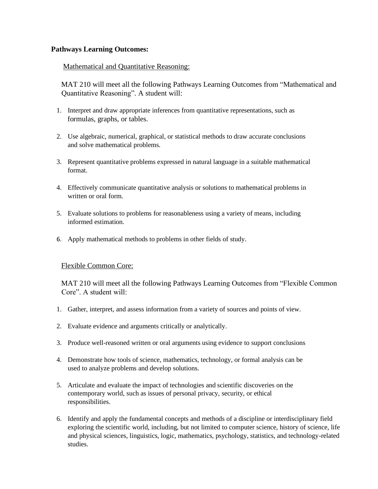#### **Pathways Learning Outcomes:**

#### Mathematical and Quantitative Reasoning:

MAT 210 will meet all the following Pathways Learning Outcomes from "Mathematical and Quantitative Reasoning". A student will:

- 1. Interpret and draw appropriate inferences from quantitative representations, such as formulas, graphs, or tables.
- 2. Use algebraic, numerical, graphical, or statistical methods to draw accurate conclusions and solve mathematical problems.
- 3. Represent quantitative problems expressed in natural language in a suitable mathematical format.
- 4. Effectively communicate quantitative analysis or solutions to mathematical problems in written or oral form.
- 5. Evaluate solutions to problems for reasonableness using a variety of means, including informed estimation.
- 6. Apply mathematical methods to problems in other fields of study.

#### Flexible Common Core:

MAT 210 will meet all the following Pathways Learning Outcomes from "Flexible Common Core". A student will:

- 1. Gather, interpret, and assess information from a variety of sources and points of view.
- 2. Evaluate evidence and arguments critically or analytically.
- 3. Produce well-reasoned written or oral arguments using evidence to support conclusions
- 4. Demonstrate how tools of science, mathematics, technology, or formal analysis can be used to analyze problems and develop solutions.
- 5. Articulate and evaluate the impact of technologies and scientific discoveries on the contemporary world, such as issues of personal privacy, security, or ethical responsibilities.
- 6. Identify and apply the fundamental concepts and methods of a discipline or interdisciplinary field exploring the scientific world, including, but not limited to computer science, history of science, life and physical sciences, linguistics, logic, mathematics, psychology, statistics, and technology-related studies.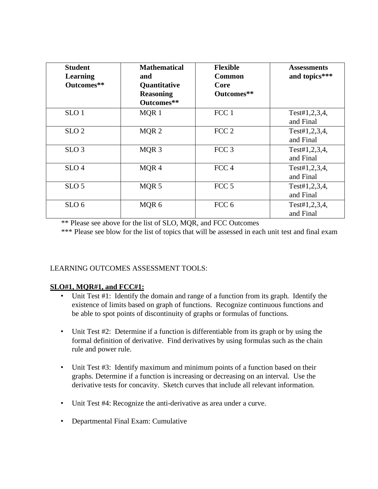| <b>Student</b><br>Learning<br>Outcomes** | <b>Mathematical</b><br>and<br>Quantitative<br><b>Reasoning</b><br>Outcomes** | <b>Flexible</b><br><b>Common</b><br>Core<br>Outcomes** | <b>Assessments</b><br>and topics*** |
|------------------------------------------|------------------------------------------------------------------------------|--------------------------------------------------------|-------------------------------------|
| SLO <sub>1</sub>                         | MQR 1                                                                        | FCC <sub>1</sub>                                       | Test#1,2,3,4,<br>and Final          |
| SLO <sub>2</sub>                         | MQR <sub>2</sub>                                                             | FCC <sub>2</sub>                                       | Test#1,2,3,4,<br>and Final          |
| SLO <sub>3</sub>                         | MQR <sub>3</sub>                                                             | FCC <sub>3</sub>                                       | Test#1,2,3,4,<br>and Final          |
| SLO <sub>4</sub>                         | MQR4                                                                         | FCC <sub>4</sub>                                       | Test#1,2,3,4,<br>and Final          |
| SLO <sub>5</sub>                         | MQR 5                                                                        | FCC <sub>5</sub>                                       | Test#1,2,3,4,<br>and Final          |
| SLO <sub>6</sub>                         | MQR 6                                                                        | FCC <sub>6</sub>                                       | Test#1,2,3,4,<br>and Final          |

\*\* Please see above for the list of SLO, MQR, and FCC Outcomes

\*\*\* Please see blow for the list of topics that will be assessed in each unit test and final exam

### LEARNING OUTCOMES ASSESSMENT TOOLS:

### **SLO#1, MQR#1, and FCC#1:**

- Unit Test #1: Identify the domain and range of a function from its graph. Identify the existence of limits based on graph of functions. Recognize continuous functions and be able to spot points of discontinuity of graphs or formulas of functions.
- Unit Test #2: Determine if a function is differentiable from its graph or by using the formal definition of derivative. Find derivatives by using formulas such as the chain rule and power rule.
- Unit Test #3: Identify maximum and minimum points of a function based on their graphs. Determine if a function is increasing or decreasing on an interval. Use the derivative tests for concavity. Sketch curves that include all relevant information.
- Unit Test #4: Recognize the anti-derivative as area under a curve.
- Departmental Final Exam: Cumulative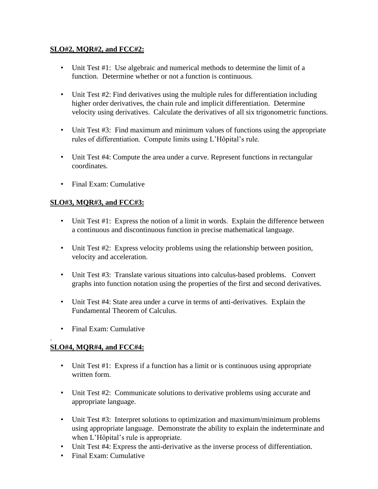### **SLO#2, MQR#2, and FCC#2:**

- Unit Test #1: Use algebraic and numerical methods to determine the limit of a function. Determine whether or not a function is continuous.
- Unit Test #2: Find derivatives using the multiple rules for differentiation including higher order derivatives, the chain rule and implicit differentiation. Determine velocity using derivatives. Calculate the derivatives of all six trigonometric functions.
- Unit Test #3: Find maximum and minimum values of functions using the appropriate rules of differentiation. Compute limits using L'Hôpital's rule.
- Unit Test #4: Compute the area under a curve. Represent functions in rectangular coordinates.
- Final Exam: Cumulative

## **SLO#3, MQR#3, and FCC#3:**

- Unit Test #1: Express the notion of a limit in words. Explain the difference between a continuous and discontinuous function in precise mathematical language.
- Unit Test #2: Express velocity problems using the relationship between position, velocity and acceleration.
- Unit Test #3: Translate various situations into calculus-based problems. Convert graphs into function notation using the properties of the first and second derivatives.
- Unit Test #4: State area under a curve in terms of anti-derivatives. Explain the Fundamental Theorem of Calculus.
- Final Exam: Cumulative

# **SLO#4, MQR#4, and FCC#4:**

.

- Unit Test #1: Express if a function has a limit or is continuous using appropriate written form.
- Unit Test #2: Communicate solutions to derivative problems using accurate and appropriate language.
- Unit Test #3: Interpret solutions to optimization and maximum/minimum problems using appropriate language. Demonstrate the ability to explain the indeterminate and when L'Hôpital's rule is appropriate.
- Unit Test #4: Express the anti-derivative as the inverse process of differentiation.
- Final Exam: Cumulative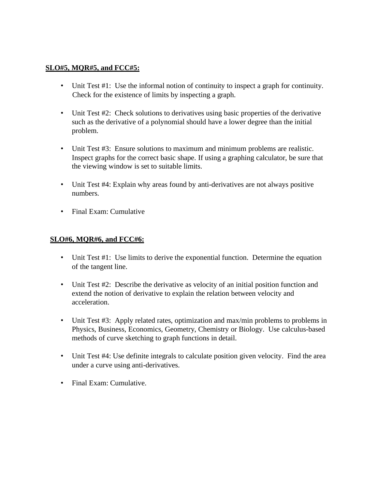#### **SLO#5, MQR#5, and FCC#5:**

- Unit Test #1: Use the informal notion of continuity to inspect a graph for continuity. Check for the existence of limits by inspecting a graph.
- Unit Test #2: Check solutions to derivatives using basic properties of the derivative such as the derivative of a polynomial should have a lower degree than the initial problem.
- Unit Test #3: Ensure solutions to maximum and minimum problems are realistic. Inspect graphs for the correct basic shape. If using a graphing calculator, be sure that the viewing window is set to suitable limits.
- Unit Test #4: Explain why areas found by anti-derivatives are not always positive numbers.
- Final Exam: Cumulative

#### **SLO#6, MQR#6, and FCC#6:**

- Unit Test #1: Use limits to derive the exponential function. Determine the equation of the tangent line.
- Unit Test #2: Describe the derivative as velocity of an initial position function and extend the notion of derivative to explain the relation between velocity and acceleration.
- Unit Test #3: Apply related rates, optimization and max/min problems to problems in Physics, Business, Economics, Geometry, Chemistry or Biology. Use calculus-based methods of curve sketching to graph functions in detail.
- Unit Test #4: Use definite integrals to calculate position given velocity. Find the area under a curve using anti-derivatives.
- Final Exam: Cumulative.